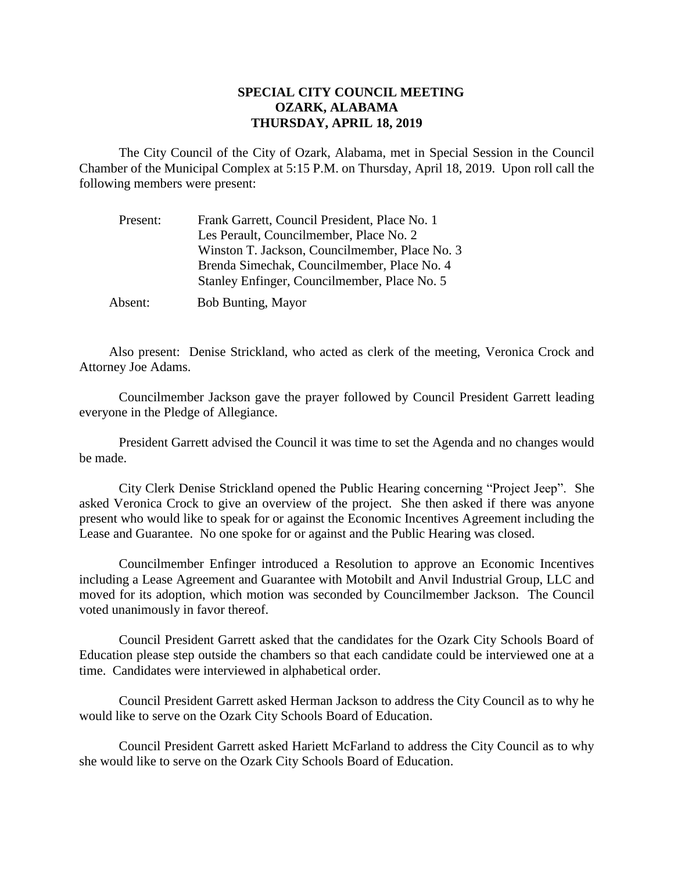## **SPECIAL CITY COUNCIL MEETING OZARK, ALABAMA THURSDAY, APRIL 18, 2019**

The City Council of the City of Ozark, Alabama, met in Special Session in the Council Chamber of the Municipal Complex at 5:15 P.M. on Thursday, April 18, 2019. Upon roll call the following members were present:

| Present: | Frank Garrett, Council President, Place No. 1  |
|----------|------------------------------------------------|
|          | Les Perault, Councilmember, Place No. 2        |
|          | Winston T. Jackson, Councilmember, Place No. 3 |
|          | Brenda Simechak, Councilmember, Place No. 4    |
|          | Stanley Enfinger, Councilmember, Place No. 5   |
| Absent:  | <b>Bob Bunting, Mayor</b>                      |

Also present: Denise Strickland, who acted as clerk of the meeting, Veronica Crock and Attorney Joe Adams.

Councilmember Jackson gave the prayer followed by Council President Garrett leading everyone in the Pledge of Allegiance.

President Garrett advised the Council it was time to set the Agenda and no changes would be made.

City Clerk Denise Strickland opened the Public Hearing concerning "Project Jeep". She asked Veronica Crock to give an overview of the project. She then asked if there was anyone present who would like to speak for or against the Economic Incentives Agreement including the Lease and Guarantee. No one spoke for or against and the Public Hearing was closed.

Councilmember Enfinger introduced a Resolution to approve an Economic Incentives including a Lease Agreement and Guarantee with Motobilt and Anvil Industrial Group, LLC and moved for its adoption, which motion was seconded by Councilmember Jackson. The Council voted unanimously in favor thereof.

Council President Garrett asked that the candidates for the Ozark City Schools Board of Education please step outside the chambers so that each candidate could be interviewed one at a time. Candidates were interviewed in alphabetical order.

Council President Garrett asked Herman Jackson to address the City Council as to why he would like to serve on the Ozark City Schools Board of Education.

Council President Garrett asked Hariett McFarland to address the City Council as to why she would like to serve on the Ozark City Schools Board of Education.